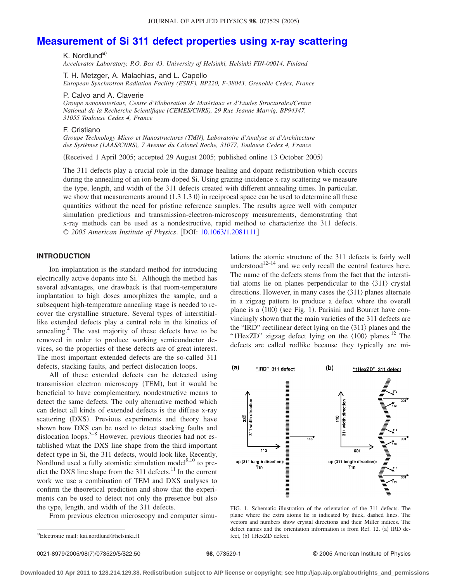# **[Measurement of Si 311 defect properties using x-ray scattering](http://dx.doi.org/10.1063/1.2081111)**

K. Nordlund<sup>a)</sup>

*Accelerator Laboratory, P.O. Box 43, University of Helsinki, Helsinki FIN-00014, Finland*

T. H. Metzger, A. Malachias, and L. Capello

*European Synchrotron Radiation Facility (ESRF), BP220, F-38043, Grenoble Cedex, France*

P. Calvo and A. Claverie

*Groupe nanomateriaux, Centre d'Elaboration de Matériaux et d'Etudes Structurales/Centre National de la Recherche Scientifique (CEMES/CNRS), 29 Rue Jeanne Marvig, BP94347, 31055 Toulouse Cedex 4, France*

#### F. Cristiano

*Groupe Technology Micro et Nanostructures (TMN), Laboratoire d'Analyse at d'Architecture des Systèmes (LAAS/CNRS), 7 Avenue du Colonel Roche, 31077, Toulouse Cedex 4, France*

Received 1 April 2005; accepted 29 August 2005; published online 13 October 2005-

The 311 defects play a crucial role in the damage healing and dopant redistribution which occurs during the annealing of an ion-beam-doped Si. Using grazing-incidence x-ray scattering we measure the type, length, and width of the 311 defects created with different annealing times. In particular, we show that measurements around (1.3 1.3 0) in reciprocal space can be used to determine all these quantities without the need for pristine reference samples. The results agree well with computer simulation predictions and transmission-electron-microscopy measurements, demonstrating that x-ray methods can be used as a nondestructive, rapid method to characterize the 311 defects. © *2005 American Institute of Physics*. DOI: [10.1063/1.2081111](http://dx.doi.org/10.1063/1.2081111)

# **INTRODUCTION**

Ion implantation is the standard method for introducing electrically active dopants into  $Si<sup>1</sup>$ . Although the method has several advantages, one drawback is that room-temperature implantation to high doses amorphizes the sample, and a subsequent high-temperature annealing stage is needed to recover the crystalline structure. Several types of interstitiallike extended defects play a central role in the kinetics of annealing.2 The vast majority of these defects have to be removed in order to produce working semiconductor devices, so the properties of these defects are of great interest. The most important extended defects are the so-called 311 defects, stacking faults, and perfect dislocation loops.

All of these extended defects can be detected using transmission electron microscopy (TEM), but it would be beneficial to have complementary, nondestructive means to detect the same defects. The only alternative method which can detect all kinds of extended defects is the diffuse x-ray scattering (DXS). Previous experiments and theory have shown how DXS can be used to detect stacking faults and dislocation loops.<sup>3–8</sup> However, previous theories had not established what the DXS line shape from the third important defect type in Si, the 311 defects, would look like. Recently, Nordlund used a fully atomistic simulation model $9,10$  to predict the DXS line shape from the 311 defects. $11$  In the current work we use a combination of TEM and DXS analyses to confirm the theoretical prediction and show that the experiments can be used to detect not only the presence but also the type, length, and width of the 311 defects.

From previous electron microscopy and computer simu-

lations the atomic structure of the 311 defects is fairly well understood<sup>12–14</sup> and we only recall the central features here. The name of the defects stems from the fact that the interstitial atoms lie on planes perpendicular to the  $\langle 311 \rangle$  crystal directions. However, in many cases the  $\langle 311 \rangle$  planes alternate in a zigzag pattern to produce a defect where the overall plane is a  $\langle 100 \rangle$  (see Fig. 1). Parisini and Bourret have convincingly shown that the main varieties of the 311 defects are the "IRD" rectilinear defect lying on the  $\langle 311 \rangle$  planes and the "1HexZD" zigzag defect lying on the  $\langle 100 \rangle$  planes.<sup>12</sup> The defects are called rodlike because they typically are mi-



FIG. 1. Schematic illustration of the orientation of the 311 defects. The plane where the extra atoms lie is indicated by thick, dashed lines. The vectors and numbers show crystal directions and their Miller indices. The defect names and the orientation information is from Ref. 12. (a) IRD defect, (b) 1HexZD defect.

a)Electronic mail: kai.nordlund@helsinki.f1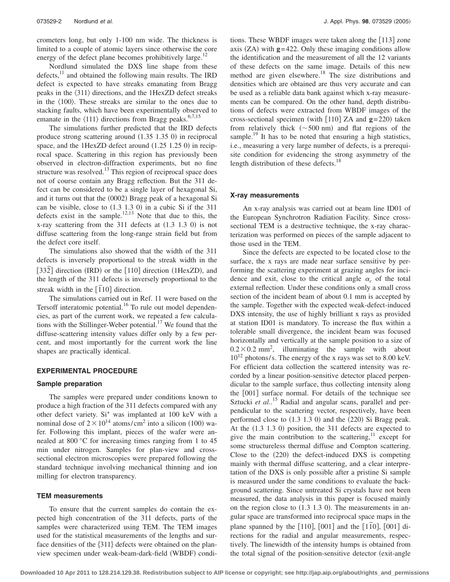crometers long, but only 1-100 nm wide. The thickness is limited to a couple of atomic layers since otherwise the core energy of the defect plane becomes prohibitively large. $^{12}$ 

Nordlund simulated the DXS line shape from these defects, $^{11}$  and obtained the following main results. The IRD defect is expected to have streaks emanating from Bragg peaks in the  $\langle 311 \rangle$  directions, and the 1HexZD defect streaks in the  $\langle 100 \rangle$ . These streaks are similar to the ones due to stacking faults, which have been experimentally observed to emanate in the  $\langle 111 \rangle$  directions from Bragg peaks.<sup>6,7,15</sup>

The simulations further predicted that the IRD defects produce strong scattering around (1.35 1.35 0) in reciprocal space, and the 1HexZD defect around (1.25 1.25 0) in reciprocal space. Scattering in this region has previously been observed in electron-diffraction experiments, but no fine structure was resolved. $^{13}$  This region of reciprocal space does not of course contain any Bragg reflection. But the 311 defect can be considered to be a single layer of hexagonal Si, and it turns out that the (0002) Bragg peak of a hexagonal Si can be visible, close to  $(1.3 \t1.3 \t0)$  in a cubic Si if the 311 defects exist in the sample.<sup>12,13</sup> Note that due to this, the  $x$ -ray scattering from the 311 defects at  $(1.3 \t1.3 \t0)$  is not diffuse scattering from the long-range strain field but from the defect core itself.

The simulations also showed that the width of the 311 defects is inversely proportional to the streak width in the  $[33\overline{2}]$  direction (IRD) or the  $[110]$  direction (1HexZD), and the length of the 311 defects is inversely proportional to the streak width in the  $\left[ \overline{1}10 \right]$  direction.

The simulations carried out in Ref. 11 were based on the Tersoff interatomic potential.<sup>16</sup> To rule out model dependencies, as part of the current work, we repeated a few calculations with the Stillinger-Weber potential.<sup>17</sup> We found that the diffuse-scattering intensity values differ only by a few percent, and most importantly for the current work the line shapes are practically identical.

# **EXPERIMENTAL PROCEDURE**

### **Sample preparation**

The samples were prepared under conditions known to produce a high fraction of the 311 defects compared with any other defect variety. Si<sup>+</sup> was implanted at 100 keV with a nominal dose of  $2 \times 10^{14}$  atoms/cm<sup>2</sup> into a silicon (100) wafer. Following this implant, pieces of the wafer were annealed at 800 °C for increasing times ranging from 1 to 45 min under nitrogen. Samples for plan-view and crosssectional electron microscopies were prepared following the standard technique involving mechanical thinning and ion milling for electron transparency.

# **TEM measurements**

To ensure that the current samples do contain the expected high concentration of the 311 defects, parts of the samples were characterized using TEM. The TEM images used for the statistical measurements of the lengths and surface densities of the  $\{311\}$  defects were obtained on the planview specimen under weak-beam-dark-field (WBDF) conditions. These WBDF images were taken along the [113] zone axis  $(ZA)$  with  $g=422$ . Only these imaging conditions allow the identification and the measurement of all the 12 variants of these defects on the same image. Details of this new method are given elsewhere.<sup>18</sup> The size distributions and densities which are obtained are thus very accurate and can be used as a reliable data bank against which x-ray measurements can be compared. On the other hand, depth distributions of defects were extracted from WBDF images of the cross-sectional specimen (with  $[110]$  ZA and  $g=220$ ) taken from relatively thick  $(\sim 500 \text{ nm})$  and flat regions of the sample.<sup>19</sup> It has to be noted that ensuring a high statistics, i.e., measuring a very large number of defects, is a prerequisite condition for evidencing the strong asymmetry of the length distribution of these defects.<sup>18</sup>

#### **X-ray measurements**

An x-ray analysis was carried out at beam line ID01 of the European Synchrotron Radiation Facility. Since crosssectional TEM is a destructive technique, the x-ray characterization was performed on pieces of the sample adjacent to those used in the TEM.

Since the defects are expected to be located close to the surface, the x rays are made near surface sensitive by performing the scattering experiment at grazing angles for incidence and exit, close to the critical angle  $\alpha_c$  of the total external reflection. Under these conditions only a small cross section of the incident beam of about 0.1 mm is accepted by the sample. Together with the expected weak-defect-induced DXS intensity, the use of highly brilliant x rays as provided at station ID01 is mandatory. To increase the flux within a tolerable small divergence, the incident beam was focused horizontally and vertically at the sample position to a size of  $0.2 \times 0.2$  mm<sup>2</sup>, illuminating the sample with about  $10^{12}$  photons/s. The energy of the x rays was set to 8.00 keV. For efficient data collection the scattered intensity was recorded by a linear position-sensitive detector placed perpendicular to the sample surface, thus collecting intensity along the  $[001]$  surface normal. For details of the technique see Sztucki et al.<sup>15</sup> Radial and angular scans, parallel and perpendicular to the scattering vector, respectively, have been performed close to  $(1.3 1.3 0)$  and the  $(220)$  Si Bragg peak. At the  $(1.3 \t1.3 \t0)$  position, the 311 defects are expected to give the main contribution to the scattering, $11$  except for some structureless thermal diffuse and Compton scattering. Close to the  $(220)$  the defect-induced DXS is competing mainly with thermal diffuse scattering, and a clear interpretation of the DXS is only possible after a pristine Si sample is measured under the same conditions to evaluate the background scattering. Since untreated Si crystals have not been measured, the data analysis in this paper is focused mainly on the region close to  $(1.3 \t1.3 \t0)$ . The measurements in angular space are transformed into reciprocal space maps in the plane spanned by the [110], [001] and the [110], [001] directions for the radial and angular measurements, respectively. The linewidth of the intensity humps is obtained from the total signal of the position-sensitive detector (exit-angle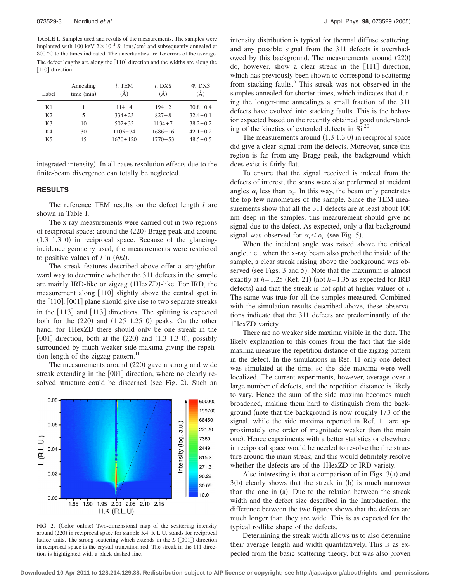TABLE I. Samples used and results of the measurements. The samples were implanted with 100 keV  $2 \times 10^{14}$  Si ions/cm<sup>2</sup> and subsequently annealed at 800 °C to the times indicated. The uncertainties are  $1\sigma$  errors of the average. The defect lengths are along the  $\overline{[110]}$  direction and the widths are along the [110] direction.

| Label          | Annealing<br>time (min) | $l$ , TEM<br>$\rm(\AA)$ | $\overline{l}$ , DXS<br>$\rm(\AA)$ | $\bar{w}$ , DXS<br>$\rm(\AA)$ |
|----------------|-------------------------|-------------------------|------------------------------------|-------------------------------|
| K1             |                         | $114 \pm 4$             | $194 \pm 2$                        | $30.8 \pm 0.4$                |
| K <sub>2</sub> | 5                       | $334 + 23$              | $827 \pm 8$                        | $32.4 \pm 0.1$                |
| K <sub>3</sub> | 10                      | $502 \pm 33$            | $1134 \pm 7$                       | $38.2 \pm 0.2$                |
| K4             | 30                      | $1105 \pm 74$           | $1686 + 16$                        | $42.1 \pm 0.2$                |
| K5             | 45                      | $1670 \pm 120$          | $1770 \pm 53$                      | $48.5 \pm 0.5$                |

integrated intensity). In all cases resolution effects due to the finite-beam divergence can totally be neglected.

#### **RESULTS**

The reference TEM results on the defect length  $\bar{l}$  are shown in Table I.

The x-ray measurements were carried out in two regions of reciprocal space: around the (220) Bragg peak and around  $(1.3 \t1.3 \t0)$  in reciprocal space. Because of the glancingincidence geometry used, the measurements were restricted to positive values of  $l$  in  $(hkl)$ .

The streak features described above offer a straightforward way to determine whether the 311 defects in the sample are mainly IRD-like or zigzag (1HexZD)-like. For IRD, the measurement along  $[110]$  slightly above the central spot in the  $[110]$ ,  $[001]$  plane should give rise to two separate streaks  $\frac{1}{2}$   $\frac{1}{2}$   $\frac{1}{2}$  and  $\frac{1}{2}$  directions. The splitting is expected both for the  $(220)$  and  $(1.25 \t1.25 \t0)$  peaks. On the other hand, for 1HexZD there should only be one streak in the  $[001]$  direction, both at the  $(220)$  and  $(1.3 \t1.3 \t0)$ , possibly surrounded by much weaker side maxima giving the repetition length of the zigzag pattern. $^{11}$ 

The measurements around (220) gave a strong and wide streak extending in the  $[001]$  direction, where no clearly resolved structure could be discerned (see Fig. 2). Such an



FIG. 2. (Color online) Two-dimensional map of the scattering intensity around (220) in reciprocal space for sample K4. R.L.U. stands for reciprocal lattice units. The strong scattering which extends in the *L* ([001]) direction in reciprocal space is the crystal truncation rod. The streak in the 111 direction is highlighted with a black dashed line.

intensity distribution is typical for thermal diffuse scattering, and any possible signal from the 311 defects is overshadowed by this background. The measurements around (220) do, however, show a clear streak in the [111] direction, which has previously been shown to correspond to scattering from stacking faults.<sup>6</sup> This streak was not observed in the samples annealed for shorter times, which indicates that during the longer-time annealings a small fraction of the 311 defects have evolved into stacking faults. This is the behavior expected based on the recently obtained good understanding of the kinetics of extended defects in  $Si.<sup>20</sup>$ 

The measurements around  $(1.3 1.3 0)$  in reciprocal space did give a clear signal from the defects. Moreover, since this region is far from any Bragg peak, the background which does exist is fairly flat.

To ensure that the signal received is indeed from the defects of interest, the scans were also performed at incident angles  $\alpha_i$  less than  $\alpha_c$ . In this way, the beam only penetrates the top few nanometres of the sample. Since the TEM measurements show that all the 311 defects are at least about 100 nm deep in the samples, this measurement should give no signal due to the defect. As expected, only a flat background signal was observed for  $\alpha_i < \alpha_c$  (see Fig. 5).

When the incident angle was raised above the critical angle, i.e., when the x-ray beam also probed the inside of the sample, a clear streak raising above the background was observed (see Figs. 3 and 5). Note that the maximum is almost exactly at  $h = 1.25$  (Ref. 21) (not  $h = 1.35$  as expected for IRD defects) and that the streak is not split at higher values of *l*. The same was true for all the samples measured. Combined with the simulation results described above, these observations indicate that the 311 defects are predominantly of the 1HexZD variety.

There are no weaker side maxima visible in the data. The likely explanation to this comes from the fact that the side maxima measure the repetition distance of the zigzag pattern in the defect. In the simulations in Ref. 11 only one defect was simulated at the time, so the side maxima were well localized. The current experiments, however, average over a large number of defects, and the repetition distance is likely to vary. Hence the sum of the side maxima becomes much broadened, making them hard to distinguish from the background (note that the background is now roughly 1/3 of the signal, while the side maxima reported in Ref. 11 are approximately one order of magnitude weaker than the main one). Hence experiments with a better statistics or elsewhere in reciprocal space would be needed to resolve the fine structure around the main streak, and this would definitely resolve whether the defects are of the 1HexZD or IRD variety.

Also interesting is that a comparison of in Figs.  $3(a)$  and  $3(b)$  clearly shows that the streak in  $(b)$  is much narrower than the one in (a). Due to the relation between the streak width and the defect size described in the Introduction, the difference between the two figures shows that the defects are much longer than they are wide. This is as expected for the typical rodlike shape of the defects.

Determining the streak width allows us to also determine their average length and width quantitatively. This is as expected from the basic scattering theory, but was also proven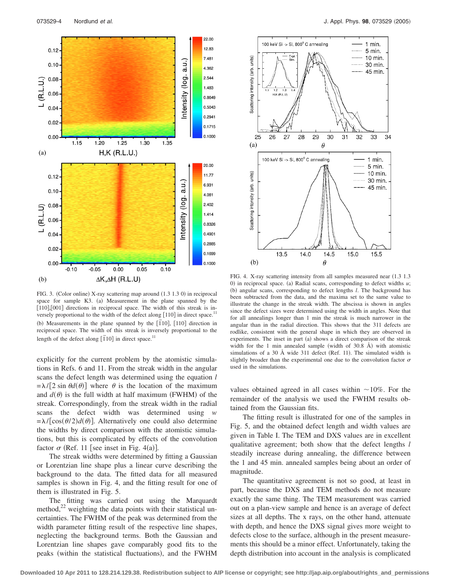

FIG. 3. (Color online) X-ray scattering map around (1.3 1.3 0) in reciprocal space for sample K3. (a) Measurement in the plane spanned by the  $[110],[001]$  directions in reciprocal space. The width of this streak is inversely proportional to the width of the defect along  $[110]$  in direct space.<sup>1</sup> (b) Measurements in the plane spanned by the  $[\overline{1}10]$ ,  $[110]$  direction in reciprocal space. The width of this streak is inversely proportional to the length of the defect along  $\left[ 110 \right]$  in direct space.<sup>11</sup>

explicitly for the current problem by the atomistic simulations in Refs. 6 and 11. From the streak width in the angular scans the defect length was determined using the equation *l*  $=\lambda/[2 \sin \theta d(\theta)]$  where  $\theta$  is the location of the maximum and  $d(\theta)$  is the full width at half maximum (FWHM) of the streak. Correspondingly, from the streak width in the radial scans the defect width was determined using *w*  $=\lambda/[\cos(\theta/2)d(\theta)]$ . Alternatively one could also determine the widths by direct comparison with the atomistic simulations, but this is complicated by effects of the convolution factor  $\sigma$  (Ref. 11 [see inset in Fig. 4(a)].

The streak widths were determined by fitting a Gaussian or Lorentzian line shape plus a linear curve describing the background to the data. The fitted data for all measured samples is shown in Fig. 4, and the fitting result for one of them is illustrated in Fig. 5.

The fitting was carried out using the Marquardt method, $^{22}$  weighting the data points with their statistical uncertainties. The FWHM of the peak was determined from the width parameter fitting result of the respective line shapes, neglecting the background terms. Both the Gaussian and Lorentzian line shapes gave comparably good fits to the peaks (within the statistical fluctuations), and the FWHM



FIG. 4. X-ray scattering intensity from all samples measured near (1.3 1.3 0) in reciprocal space. (a) Radial scans, corresponding to defect widths  $u$ ; (b) angular scans, corresponding to defect lengths *l*. The background has been subtracted from the data, and the maxima set to the same value to illustrate the change in the streak width. The abscissa is shown in angles since the defect sizes were determined using the width in angles. Note that for all annealings longer than 1 min the streak is much narrower in the angular than in the radial direction. This shows that the 311 defects are rodlike, consistent with the general shape in which they are observed in experiments. The inset in part (a) shows a direct comparison of the streak width for the 1 min annealed sample (width of  $30.8$  Å) with atomistic simulations of a 30 Å wide 311 defect (Ref. 11). The simulated width is slightly broader than the experimental one due to the convolution factor  $\sigma$ used in the simulations.

values obtained agreed in all cases within  $\sim$ 10%. For the remainder of the analysis we used the FWHM results obtained from the Gaussian fits.

The fitting result is illustrated for one of the samples in Fig. 5, and the obtained defect length and width values are given in Table I. The TEM and DXS values are in excellent qualitative agreement; both show that the defect lengths *l* steadily increase during annealing, the difference between the 1 and 45 min. annealed samples being about an order of magnitude.

The quantitative agreement is not so good, at least in part, because the DXS and TEM methods do not measure exactly the same thing. The TEM measurement was carried out on a plan-view sample and hence is an average of defect sizes at all depths. The x rays, on the other hand, attenuate with depth, and hence the DXS signal gives more weight to defects close to the surface, although in the present measurements this should be a minor effect. Unfortunately, taking the depth distribution into account in the analysis is complicated